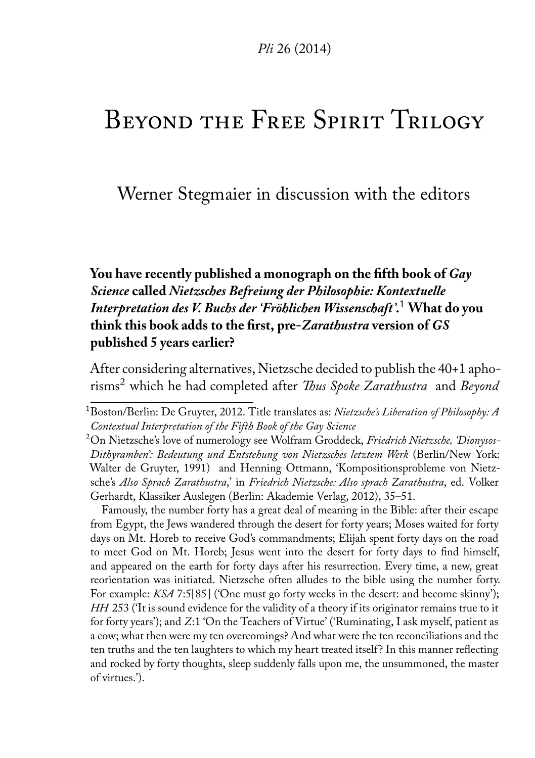# Beyond the Free Spirit Trilogy

Werner Stegmaier in discussion with the editors

**You have recently published a monograph on the fifth book of** *Gay Science* **called** *Nietzsches Befreiung der Philosophie: Kontextuelle Interpretation des V. Buchs der 'Fröhlichen Wissenschaft'***.** [1](#page-0-0) **What do you think this book adds to the first, pre-***Zarathustra* **version of** *GS* **published 5 years earlier?**

After considering alternatives, Nietzsche decided to publish the 40+1 aphorisms[2](#page-0-1) which he had completed after *Thus Spoke Zarathustra* and *Beyond*

Famously, the number forty has a great deal of meaning in the Bible: after their escape from Egypt, the Jews wandered through the desert for forty years; Moses waited for forty days on Mt. Horeb to receive God's commandments; Elijah spent forty days on the road to meet God on Mt. Horeb; Jesus went into the desert for forty days to find himself, and appeared on the earth for forty days after his resurrection. Every time, a new, great reorientation was initiated. Nietzsche often alludes to the bible using the number forty. For example: *KSA* 7:5[85] ('One must go forty weeks in the desert: and become skinny'); *HH* 253 ('It is sound evidence for the validity of a theory if its originator remains true to it for forty years'); and *Z*:1 'On the Teachers of Virtue' ('Ruminating, I ask myself, patient as a cow; what then were my ten overcomings? And what were the ten reconciliations and the ten truths and the ten laughters to which my heart treated itself? In this manner reflecting and rocked by forty thoughts, sleep suddenly falls upon me, the unsummoned, the master of virtues.').

<span id="page-0-0"></span><sup>1</sup>Boston/Berlin: De Gruyter, 2012. Title translates as: *Nietzsche's Liberation of Philosophy: A Contextual Interpretation of the Fifth Book of the Gay Science*

<span id="page-0-1"></span><sup>2</sup>On Nietzsche's love of numerology see Wolfram Groddeck, *Friedrich Nietzsche, 'Dionysos-Dithyramben': Bedeutung und Entstehung von Nietzsches letztem Werk* (Berlin/New York: Walter de Gruyter, 1991) and Henning Ottmann, 'Kompositionsprobleme von Nietzsche's *Also Sprach Zarathustra*,' in *Friedrich Nietzsche: Also sprach Zarathustra*, ed. Volker Gerhardt, Klassiker Auslegen (Berlin: Akademie Verlag, 2012), 35–51.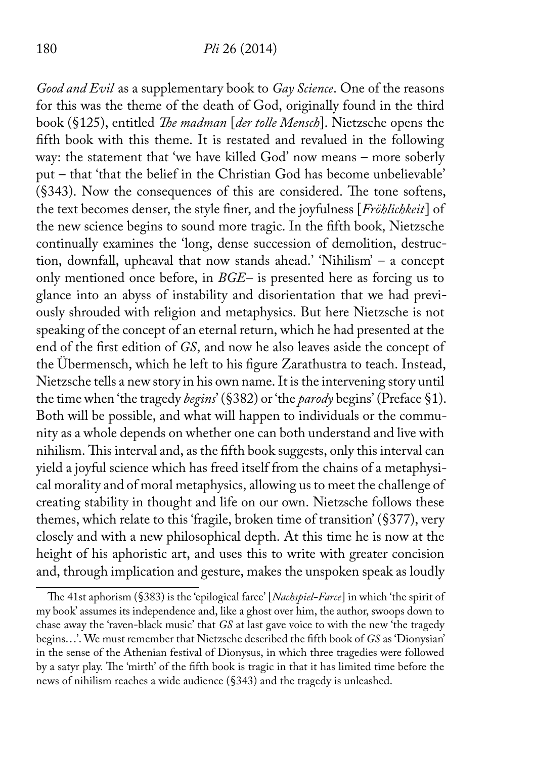#### 180 *Pli* 26 (2014)

*Good and Evil* as a supplementary book to *Gay Science*. One of the reasons for this was the theme of the death of God, originally found in the third book (§125), entitled *The madman* [*der tolle Mensch*]. Nietzsche opens the fifth book with this theme. It is restated and revalued in the following way: the statement that 'we have killed God' now means – more soberly put – that 'that the belief in the Christian God has become unbelievable' (§343). Now the consequences of this are considered. The tone softens, the text becomes denser, the style finer, and the joyfulness [*Fröhlichkeit*] of the new science begins to sound more tragic. In the fifth book, Nietzsche continually examines the 'long, dense succession of demolition, destruction, downfall, upheaval that now stands ahead.' 'Nihilism' – a concept only mentioned once before, in *BGE*– is presented here as forcing us to glance into an abyss of instability and disorientation that we had previously shrouded with religion and metaphysics. But here Nietzsche is not speaking of the concept of an eternal return, which he had presented at the end of the first edition of *GS*, and now he also leaves aside the concept of the Übermensch, which he left to his figure Zarathustra to teach. Instead, Nietzsche tells a new story in his own name. It is the intervening story until the time when 'the tragedy *begins*' (§382) or 'the *parody* begins' (Preface §1). Both will be possible, and what will happen to individuals or the community as a whole depends on whether one can both understand and live with nihilism. This interval and, as the fifth book suggests, only this interval can yield a joyful science which has freed itself from the chains of a metaphysical morality and of moral metaphysics, allowing us to meet the challenge of creating stability in thought and life on our own. Nietzsche follows these themes, which relate to this 'fragile, broken time of transition' (§377), very closely and with a new philosophical depth. At this time he is now at the height of his aphoristic art, and uses this to write with greater concision and, through implication and gesture, makes the unspoken speak as loudly

The 41st aphorism (§383) is the 'epilogical farce' [*Nachspiel-Farce*] in which 'the spirit of my book' assumes its independence and, like a ghost over him, the author, swoops down to chase away the 'raven-black music' that *GS* at last gave voice to with the new 'the tragedy begins...'. We must remember that Nietzsche described the fifth book of *GS* as 'Dionysian' in the sense of the Athenian festival of Dionysus, in which three tragedies were followed by a satyr play. The 'mirth' of the fifth book is tragic in that it has limited time before the news of nihilism reaches a wide audience (§343) and the tragedy is unleashed.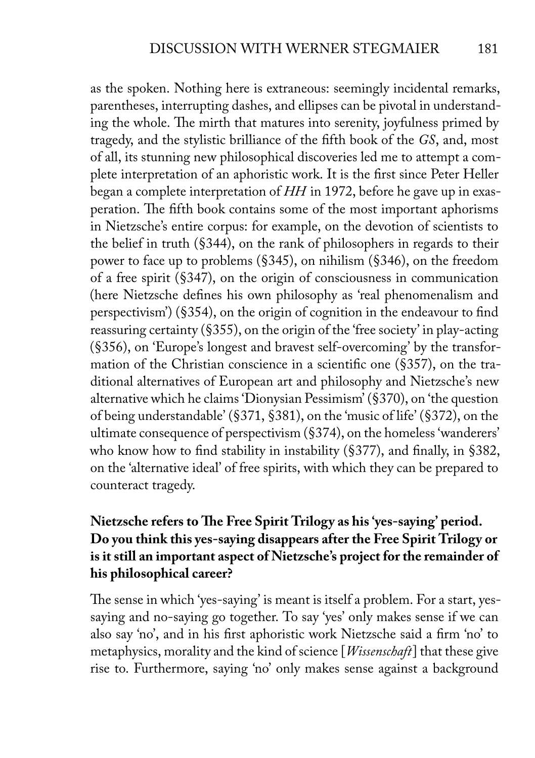as the spoken. Nothing here is extraneous: seemingly incidental remarks, parentheses, interrupting dashes, and ellipses can be pivotal in understanding the whole. The mirth that matures into serenity, joyfulness primed by tragedy, and the stylistic brilliance of the fifth book of the *GS*, and, most of all, its stunning new philosophical discoveries led me to attempt a complete interpretation of an aphoristic work. It is the first since Peter Heller began a complete interpretation of *HH* in 1972, before he gave up in exasperation. The fifth book contains some of the most important aphorisms in Nietzsche's entire corpus: for example, on the devotion of scientists to the belief in truth (§344), on the rank of philosophers in regards to their power to face up to problems (§345), on nihilism (§346), on the freedom of a free spirit (§347), on the origin of consciousness in communication (here Nietzsche defines his own philosophy as 'real phenomenalism and perspectivism') (§354), on the origin of cognition in the endeavour to find reassuring certainty (§355), on the origin of the 'free society' in play-acting (§356), on 'Europe's longest and bravest self-overcoming' by the transformation of the Christian conscience in a scientific one (§357), on the traditional alternatives of European art and philosophy and Nietzsche's new alternative which he claims 'Dionysian Pessimism' (§370), on 'the question of being understandable' (§371, §381), on the 'music of life' (§372), on the ultimate consequence of perspectivism (§374), on the homeless 'wanderers' who know how to find stability in instability (§377), and finally, in §382, on the 'alternative ideal' of free spirits, with which they can be prepared to counteract tragedy.

## **Nietzsche refers to The Free Spirit Trilogy as his 'yes-saying' period. Do you think this yes-saying disappears after the Free Spirit Trilogy or is it still an important aspect of Nietzsche's project for the remainder of his philosophical career?**

The sense in which 'yes-saying' is meant is itself a problem. For a start, yessaying and no-saying go together. To say 'yes' only makes sense if we can also say 'no', and in his first aphoristic work Nietzsche said a firm 'no' to metaphysics, morality and the kind of science [*Wissenschaft*] that these give rise to. Furthermore, saying 'no' only makes sense against a background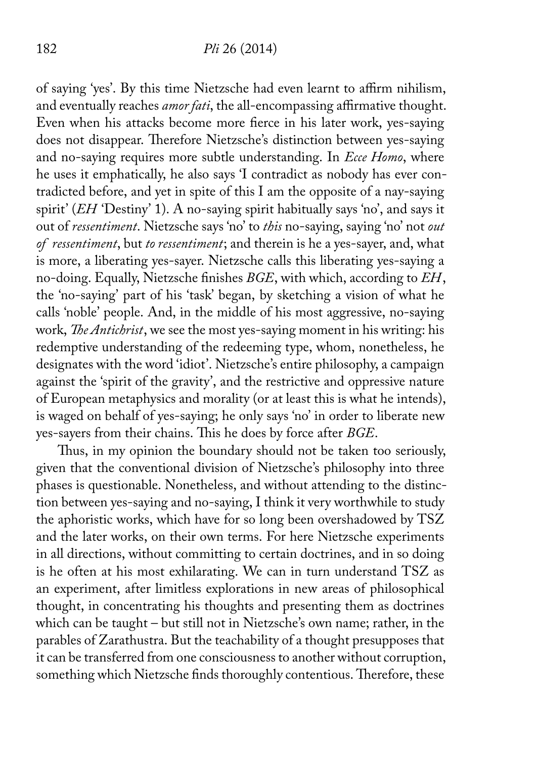#### 182 *Pli* 26 (2014)

of saying 'yes'. By this time Nietzsche had even learnt to affirm nihilism, and eventually reaches *amor fati*, the all-encompassing affirmative thought. Even when his attacks become more fierce in his later work, yes-saying does not disappear. Therefore Nietzsche's distinction between yes-saying and no-saying requires more subtle understanding. In *Ecce Homo*, where he uses it emphatically, he also says 'I contradict as nobody has ever contradicted before, and yet in spite of this I am the opposite of a nay-saying spirit' (*EH* 'Destiny' 1). A no-saying spirit habitually says 'no', and says it out of *ressentiment*. Nietzsche says 'no' to *this* no-saying, saying 'no' not *out of ressentiment*, but *to ressentiment*; and therein is he a yes-sayer, and, what is more, a liberating yes-sayer. Nietzsche calls this liberating yes-saying a no-doing. Equally, Nietzsche finishes *BGE*, with which, according to *EH*, the 'no-saying' part of his 'task' began, by sketching a vision of what he calls 'noble' people. And, in the middle of his most aggressive, no-saying work, *The Antichrist*, we see the most yes-saying moment in his writing: his redemptive understanding of the redeeming type, whom, nonetheless, he designates with the word 'idiot'. Nietzsche's entire philosophy, a campaign against the 'spirit of the gravity', and the restrictive and oppressive nature of European metaphysics and morality (or at least this is what he intends), is waged on behalf of yes-saying; he only says 'no' in order to liberate new yes-sayers from their chains. This he does by force after *BGE*.

Thus, in my opinion the boundary should not be taken too seriously, given that the conventional division of Nietzsche's philosophy into three phases is questionable. Nonetheless, and without attending to the distinction between yes-saying and no-saying, I think it very worthwhile to study the aphoristic works, which have for so long been overshadowed by TSZ and the later works, on their own terms. For here Nietzsche experiments in all directions, without committing to certain doctrines, and in so doing is he often at his most exhilarating. We can in turn understand TSZ as an experiment, after limitless explorations in new areas of philosophical thought, in concentrating his thoughts and presenting them as doctrines which can be taught – but still not in Nietzsche's own name; rather, in the parables of Zarathustra. But the teachability of a thought presupposes that it can be transferred from one consciousness to another without corruption, something which Nietzsche finds thoroughly contentious. Therefore, these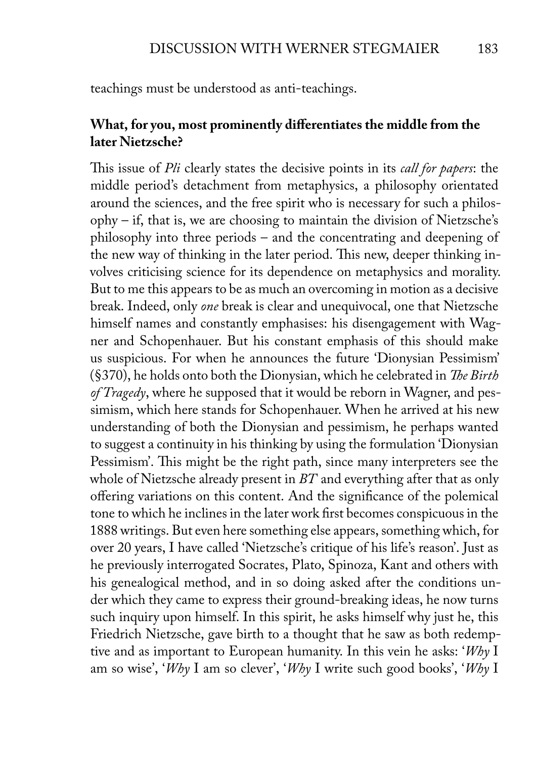teachings must be understood as anti-teachings.

### **What, for you, most prominently differentiates the middle from the later Nietzsche?**

This issue of *Pli* clearly states the decisive points in its *call for papers*: the middle period's detachment from metaphysics, a philosophy orientated around the sciences, and the free spirit who is necessary for such a philosophy – if, that is, we are choosing to maintain the division of Nietzsche's philosophy into three periods – and the concentrating and deepening of the new way of thinking in the later period. This new, deeper thinking involves criticising science for its dependence on metaphysics and morality. But to me this appears to be as much an overcoming in motion as a decisive break. Indeed, only *one* break is clear and unequivocal, one that Nietzsche himself names and constantly emphasises: his disengagement with Wagner and Schopenhauer. But his constant emphasis of this should make us suspicious. For when he announces the future 'Dionysian Pessimism' (§370), he holds onto both the Dionysian, which he celebrated in *The Birth of Tragedy*, where he supposed that it would be reborn in Wagner, and pessimism, which here stands for Schopenhauer. When he arrived at his new understanding of both the Dionysian and pessimism, he perhaps wanted to suggest a continuity in his thinking by using the formulation 'Dionysian Pessimism'. This might be the right path, since many interpreters see the whole of Nietzsche already present in *BT* and everything after that as only offering variations on this content. And the significance of the polemical tone to which he inclines in the later work first becomes conspicuous in the 1888 writings. But even here something else appears, something which, for over 20 years, I have called 'Nietzsche's critique of his life's reason'. Just as he previously interrogated Socrates, Plato, Spinoza, Kant and others with his genealogical method, and in so doing asked after the conditions under which they came to express their ground-breaking ideas, he now turns such inquiry upon himself. In this spirit, he asks himself why just he, this Friedrich Nietzsche, gave birth to a thought that he saw as both redemptive and as important to European humanity. In this vein he asks: '*Why* I am so wise', '*Why* I am so clever', '*Why* I write such good books', '*Why* I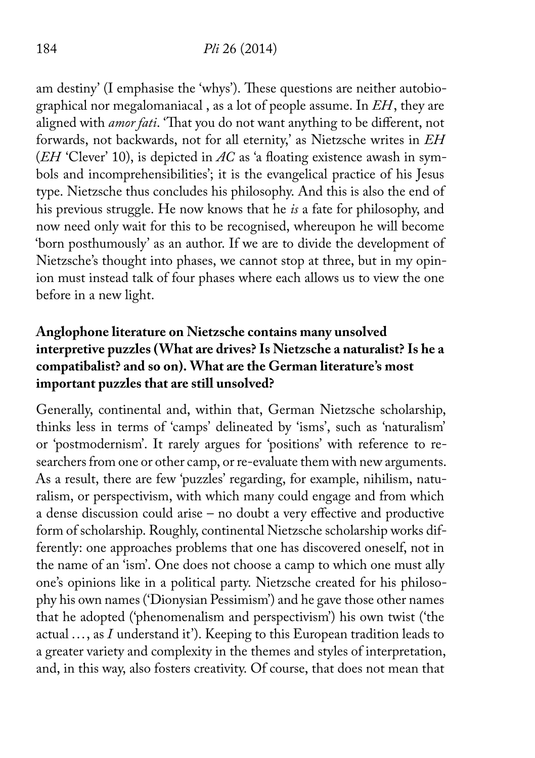#### 184 *Pli* 26 (2014)

am destiny' (I emphasise the 'whys'). These questions are neither autobiographical nor megalomaniacal , as a lot of people assume. In *EH*, they are aligned with *amor fati*. 'That you do not want anything to be different, not forwards, not backwards, not for all eternity,' as Nietzsche writes in *EH* (*EH* 'Clever' 10), is depicted in *AC* as 'a floating existence awash in symbols and incomprehensibilities'; it is the evangelical practice of his Jesus type. Nietzsche thus concludes his philosophy. And this is also the end of his previous struggle. He now knows that he *is* a fate for philosophy, and now need only wait for this to be recognised, whereupon he will become 'born posthumously' as an author. If we are to divide the development of Nietzsche's thought into phases, we cannot stop at three, but in my opinion must instead talk of four phases where each allows us to view the one before in a new light.

## **Anglophone literature on Nietzsche contains many unsolved interpretive puzzles (What are drives? Is Nietzsche a naturalist? Is he a compatibalist? and so on). What are the German literature's most important puzzles that are still unsolved?**

Generally, continental and, within that, German Nietzsche scholarship, thinks less in terms of 'camps' delineated by 'isms', such as 'naturalism' or 'postmodernism'. It rarely argues for 'positions' with reference to researchers from one or other camp, or re-evaluate them with new arguments. As a result, there are few 'puzzles' regarding, for example, nihilism, naturalism, or perspectivism, with which many could engage and from which a dense discussion could arise – no doubt a very effective and productive form of scholarship. Roughly, continental Nietzsche scholarship works differently: one approaches problems that one has discovered oneself, not in the name of an 'ism'. One does not choose a camp to which one must ally one's opinions like in a political party. Nietzsche created for his philosophy his own names ('Dionysian Pessimism') and he gave those other names that he adopted ('phenomenalism and perspectivism') his own twist ('the actual ..., as *I* understand it'). Keeping to this European tradition leads to a greater variety and complexity in the themes and styles of interpretation, and, in this way, also fosters creativity. Of course, that does not mean that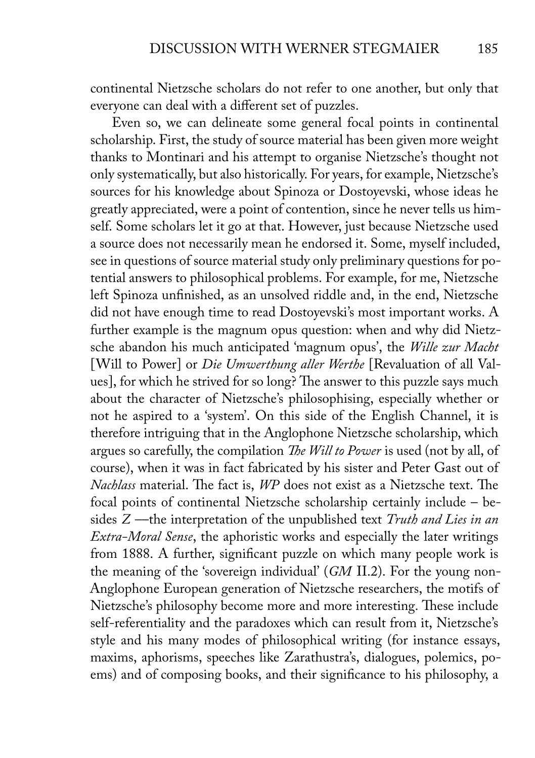continental Nietzsche scholars do not refer to one another, but only that everyone can deal with a different set of puzzles.

Even so, we can delineate some general focal points in continental scholarship. First, the study of source material has been given more weight thanks to Montinari and his attempt to organise Nietzsche's thought not only systematically, but also historically. For years, for example, Nietzsche's sources for his knowledge about Spinoza or Dostoyevski, whose ideas he greatly appreciated, were a point of contention, since he never tells us himself. Some scholars let it go at that. However, just because Nietzsche used a source does not necessarily mean he endorsed it. Some, myself included, see in questions of source material study only preliminary questions for potential answers to philosophical problems. For example, for me, Nietzsche left Spinoza unfinished, as an unsolved riddle and, in the end, Nietzsche did not have enough time to read Dostoyevski's most important works. A further example is the magnum opus question: when and why did Nietzsche abandon his much anticipated 'magnum opus', the *Wille zur Macht* [Will to Power] or *Die Umwerthung aller Werthe* [Revaluation of all Values], for which he strived for so long? The answer to this puzzle says much about the character of Nietzsche's philosophising, especially whether or not he aspired to a 'system'. On this side of the English Channel, it is therefore intriguing that in the Anglophone Nietzsche scholarship, which argues so carefully, the compilation *The Will to Power* is used (not by all, of course), when it was in fact fabricated by his sister and Peter Gast out of *Nachlass* material. The fact is, *WP* does not exist as a Nietzsche text. The focal points of continental Nietzsche scholarship certainly include – besides *Z* ––the interpretation of the unpublished text *Truth and Lies in an Extra-Moral Sense*, the aphoristic works and especially the later writings from 1888. A further, significant puzzle on which many people work is the meaning of the 'sovereign individual' (*GM* II.2). For the young non-Anglophone European generation of Nietzsche researchers, the motifs of Nietzsche's philosophy become more and more interesting. These include self-referentiality and the paradoxes which can result from it, Nietzsche's style and his many modes of philosophical writing (for instance essays, maxims, aphorisms, speeches like Zarathustra's, dialogues, polemics, poems) and of composing books, and their significance to his philosophy, a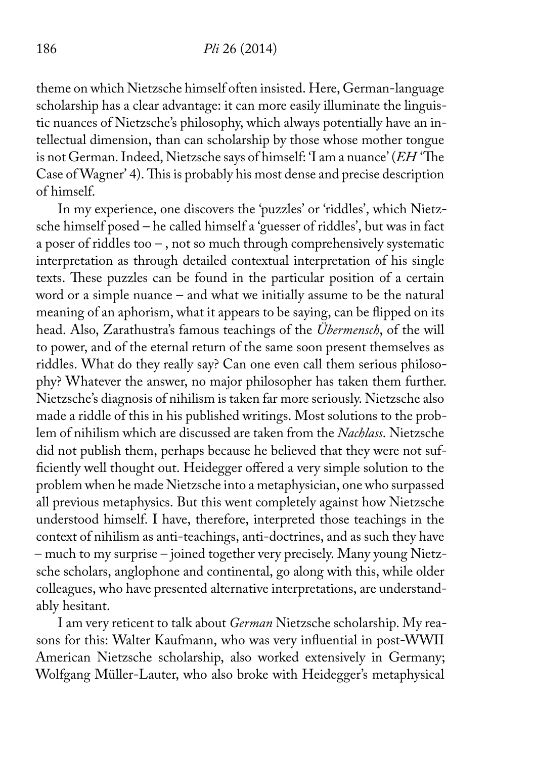theme on which Nietzsche himself often insisted. Here, German-language scholarship has a clear advantage: it can more easily illuminate the linguistic nuances of Nietzsche's philosophy, which always potentially have an intellectual dimension, than can scholarship by those whose mother tongue is not German. Indeed, Nietzsche says of himself: 'I am a nuance' (*EH* 'The Case of Wagner' 4). This is probably his most dense and precise description of himself.

In my experience, one discovers the 'puzzles' or 'riddles', which Nietzsche himself posed – he called himself a 'guesser of riddles', but was in fact a poser of riddles too – , not so much through comprehensively systematic interpretation as through detailed contextual interpretation of his single texts. These puzzles can be found in the particular position of a certain word or a simple nuance – and what we initially assume to be the natural meaning of an aphorism, what it appears to be saying, can be flipped on its head. Also, Zarathustra's famous teachings of the *Übermensch*, of the will to power, and of the eternal return of the same soon present themselves as riddles. What do they really say? Can one even call them serious philosophy? Whatever the answer, no major philosopher has taken them further. Nietzsche's diagnosis of nihilism is taken far more seriously. Nietzsche also made a riddle of this in his published writings. Most solutions to the problem of nihilism which are discussed are taken from the *Nachlass*. Nietzsche did not publish them, perhaps because he believed that they were not sufficiently well thought out. Heidegger offered a very simple solution to the problem when he made Nietzsche into a metaphysician, one who surpassed all previous metaphysics. But this went completely against how Nietzsche understood himself. I have, therefore, interpreted those teachings in the context of nihilism as anti-teachings, anti-doctrines, and as such they have – much to my surprise – joined together very precisely. Many young Nietzsche scholars, anglophone and continental, go along with this, while older colleagues, who have presented alternative interpretations, are understandably hesitant.

I am very reticent to talk about *German* Nietzsche scholarship. My reasons for this: Walter Kaufmann, who was very influential in post-WWII American Nietzsche scholarship, also worked extensively in Germany; Wolfgang Müller-Lauter, who also broke with Heidegger's metaphysical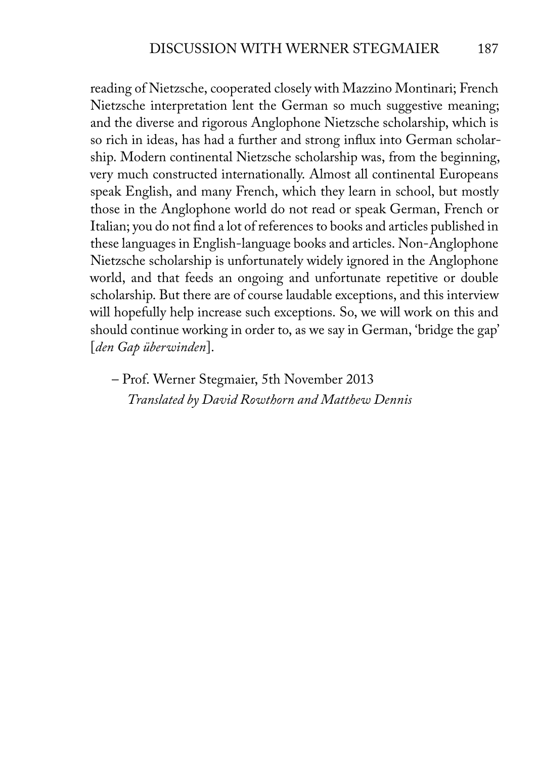reading of Nietzsche, cooperated closely with Mazzino Montinari; French Nietzsche interpretation lent the German so much suggestive meaning; and the diverse and rigorous Anglophone Nietzsche scholarship, which is so rich in ideas, has had a further and strong influx into German scholarship. Modern continental Nietzsche scholarship was, from the beginning, very much constructed internationally. Almost all continental Europeans speak English, and many French, which they learn in school, but mostly those in the Anglophone world do not read or speak German, French or Italian; you do not find a lot of references to books and articles published in these languages in English-language books and articles. Non-Anglophone Nietzsche scholarship is unfortunately widely ignored in the Anglophone world, and that feeds an ongoing and unfortunate repetitive or double scholarship. But there are of course laudable exceptions, and this interview will hopefully help increase such exceptions. So, we will work on this and should continue working in order to, as we say in German, 'bridge the gap' [*den Gap überwinden*].

– Prof. Werner Stegmaier, 5th November 2013 *Translated by David Rowthorn and Matthew Dennis*